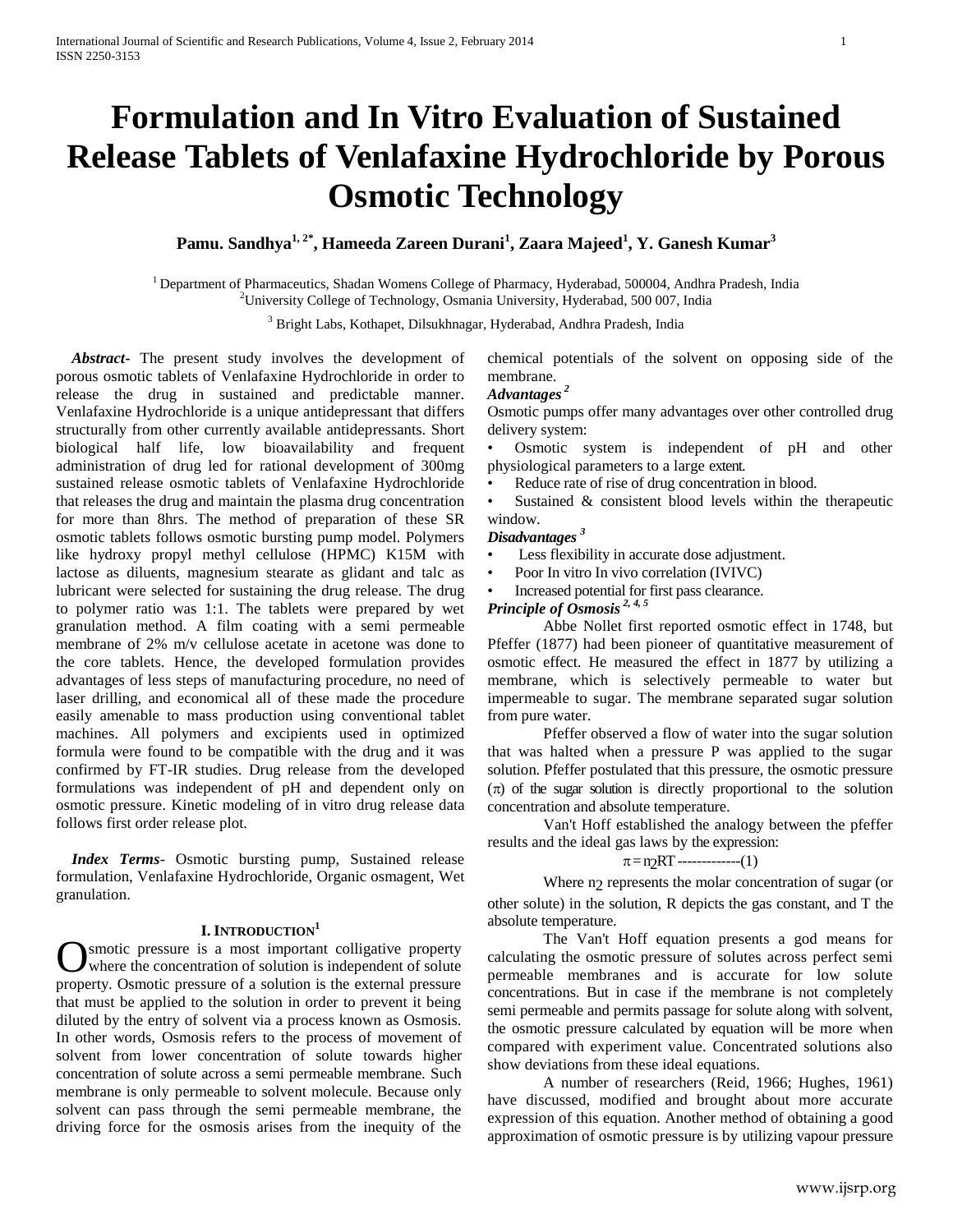# **Formulation and In Vitro Evaluation of Sustained Release Tablets of Venlafaxine Hydrochloride by Porous Osmotic Technology**

# **Pamu. Sandhya1, 2\* , Hameeda Zareen Durani<sup>1</sup> , Zaara Majeed<sup>1</sup> , Y. Ganesh Kumar<sup>3</sup>**

<sup>1</sup> Department of Pharmaceutics, Shadan Womens College of Pharmacy, Hyderabad, 500004, Andhra Pradesh, India <sup>2</sup>University College of Technology, Osmania University, Hyderabad, 500 007, India

<sup>3</sup> Bright Labs, Kothapet, Dilsukhnagar, Hyderabad, Andhra Pradesh, India

 *Abstract***-** The present study involves the development of porous osmotic tablets of Venlafaxine Hydrochloride in order to release the drug in sustained and predictable manner. Venlafaxine Hydrochloride is a unique antidepressant that differs structurally from other currently available antidepressants. Short biological half life, low bioavailability and frequent administration of drug led for rational development of 300mg sustained release osmotic tablets of Venlafaxine Hydrochloride that releases the drug and maintain the plasma drug concentration for more than 8hrs. The method of preparation of these SR osmotic tablets follows osmotic bursting pump model. Polymers like hydroxy propyl methyl cellulose (HPMC) K15M with lactose as diluents, magnesium stearate as glidant and talc as lubricant were selected for sustaining the drug release. The drug to polymer ratio was 1:1. The tablets were prepared by wet granulation method. A film coating with a semi permeable membrane of 2% m/v cellulose acetate in acetone was done to the core tablets. Hence, the developed formulation provides advantages of less steps of manufacturing procedure, no need of laser drilling, and economical all of these made the procedure easily amenable to mass production using conventional tablet machines. All polymers and excipients used in optimized formula were found to be compatible with the drug and it was confirmed by FT-IR studies. Drug release from the developed formulations was independent of pH and dependent only on osmotic pressure. Kinetic modeling of in vitro drug release data follows first order release plot.

 *Index Terms*- Osmotic bursting pump, Sustained release formulation, Venlafaxine Hydrochloride, Organic osmagent, Wet granulation.

#### **I. INTRODUCTION<sup>1</sup>**

smotic pressure is a most important colligative property where the concentration of solution is independent of solute **C** smotic pressure is a most important colligative property where the concentration of solution is independent of solute property. Osmotic pressure of a solution is the external pressure that must be applied to the solution in order to prevent it being diluted by the entry of solvent via a process known as Osmosis. In other words, Osmosis refers to the process of movement of solvent from lower concentration of solute towards higher concentration of solute across a semi permeable membrane. Such membrane is only permeable to solvent molecule. Because only solvent can pass through the semi permeable membrane, the driving force for the osmosis arises from the inequity of the

chemical potentials of the solvent on opposing side of the membrane.

# *Advantages <sup>2</sup>*

Osmotic pumps offer many advantages over other controlled drug delivery system:

• Osmotic system is independent of pH and other physiological parameters to a large extent.

• Reduce rate of rise of drug concentration in blood.

• Sustained & consistent blood levels within the therapeutic window.

## *Disadvantages <sup>3</sup>*

- Less flexibility in accurate dose adjustment.
- Poor In vitro In vivo correlation (IVIVC)
- Increased potential for first pass clearance.

# *Principle of Osmosis 2, 4, 5*

Abbe Nollet first reported osmotic effect in 1748, but Pfeffer (1877) had been pioneer of quantitative measurement of osmotic effect. He measured the effect in 1877 by utilizing a membrane, which is selectively permeable to water but impermeable to sugar. The membrane separated sugar solution from pure water.

Pfeffer observed a flow of water into the sugar solution that was halted when a pressure P was applied to the sugar solution. Pfeffer postulated that this pressure, the osmotic pressure  $(\pi)$  of the sugar solution is directly proportional to the solution concentration and absolute temperature.

Van't Hoff established the analogy between the pfeffer results and the ideal gas laws by the expression:

# $\pi$ = n<sub>2</sub>RT -------------(1)

Where n<sub>2</sub> represents the molar concentration of sugar (or other solute) in the solution, R depicts the gas constant, and T the absolute temperature.

The Van't Hoff equation presents a god means for calculating the osmotic pressure of solutes across perfect semi permeable membranes and is accurate for low solute concentrations. But in case if the membrane is not completely semi permeable and permits passage for solute along with solvent, the osmotic pressure calculated by equation will be more when compared with experiment value. Concentrated solutions also show deviations from these ideal equations.

A number of researchers (Reid, 1966; Hughes, 1961) have discussed, modified and brought about more accurate expression of this equation. Another method of obtaining a good approximation of osmotic pressure is by utilizing vapour pressure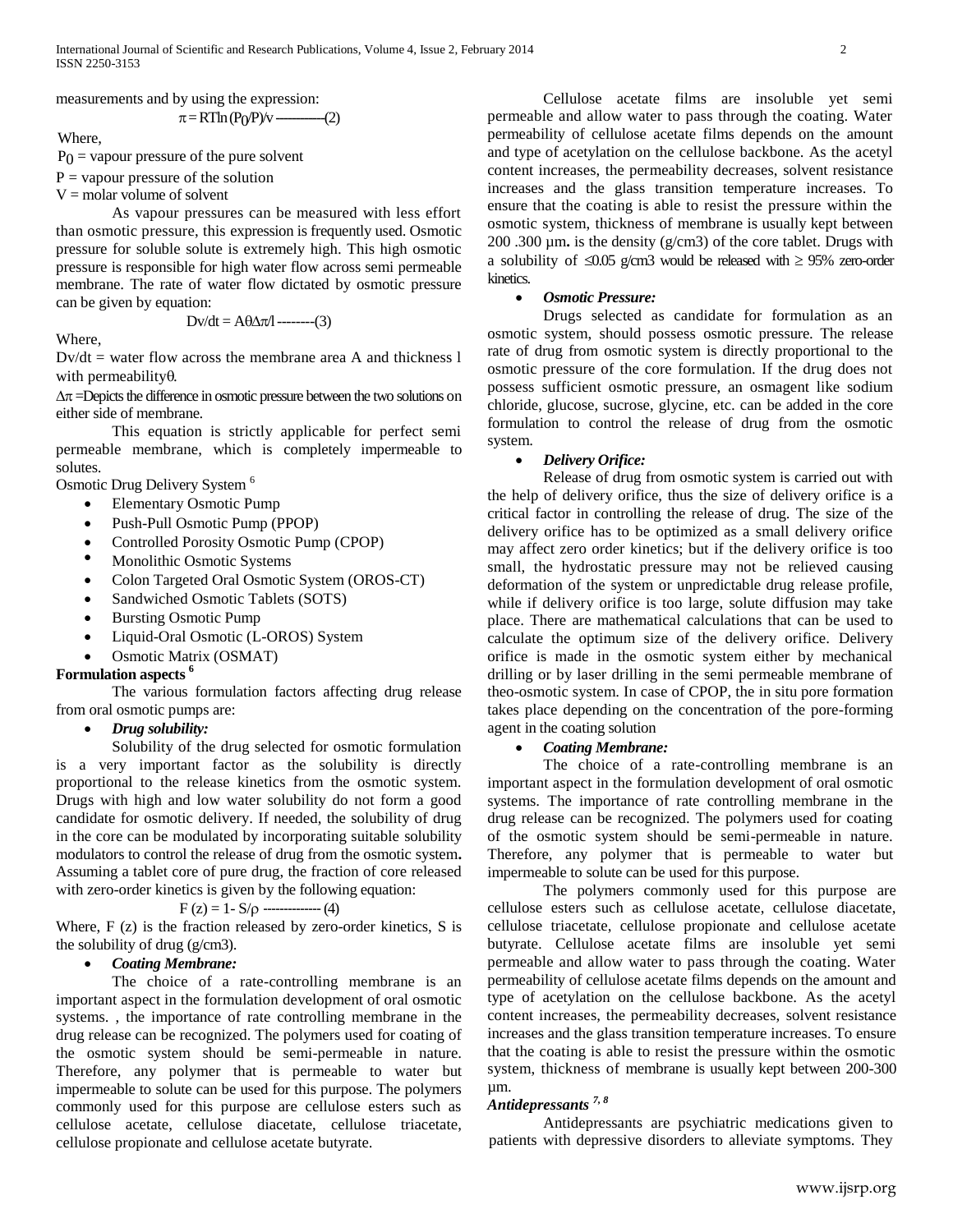measurements and by using the expression:

$$
\pi = RT \ln (P_0/P) / v \text{ (2)}
$$

Where,

 $P_0$  = vapour pressure of the pure solvent

 $P =$  vapour pressure of the solution

 $V =$  molar volume of solvent

As vapour pressures can be measured with less effort than osmotic pressure, this expression is frequently used. Osmotic pressure for soluble solute is extremely high. This high osmotic pressure is responsible for high water flow across semi permeable membrane. The rate of water flow dictated by osmotic pressure can be given by equation:

$$
Dv/dt = A\theta \Delta \pi / \text{---}(3)
$$

Where,

 $Dv/dt$  = water flow across the membrane area A and thickness 1 with permeability $\theta$ .

 $\Delta \pi$  =Depicts the difference in osmotic pressure between the two solutions on either side of membrane.

This equation is strictly applicable for perfect semi permeable membrane, which is completely impermeable to solutes.

Osmotic Drug Delivery System <sup>6</sup>

- Elementary Osmotic Pump
- Push-Pull Osmotic Pump (PPOP)
- Controlled Porosity Osmotic Pump (CPOP)
- Monolithic Osmotic Systems
- Colon Targeted Oral Osmotic System (OROS-CT)
- Sandwiched Osmotic Tablets (SOTS)
- Bursting Osmotic Pump
- Liquid-Oral Osmotic (L-OROS) System
- Osmotic Matrix (OSMAT)

## **Formulation aspects <sup>6</sup>**

The various formulation factors affecting drug release from oral osmotic pumps are:

*Drug solubility:* 

Solubility of the drug selected for osmotic formulation is a very important factor as the solubility is directly proportional to the release kinetics from the osmotic system. Drugs with high and low water solubility do not form a good candidate for osmotic delivery. If needed, the solubility of drug in the core can be modulated by incorporating suitable solubility modulators to control the release of drug from the osmotic system**.** Assuming a tablet core of pure drug, the fraction of core released with zero-order kinetics is given by the following equation:

$$
F(z) = 1 - S/\rho
$$

Where,  $F(z)$  is the fraction released by zero-order kinetics,  $S$  is the solubility of drug (g/cm3).

## *Coating Membrane:*

The choice of a rate-controlling membrane is an important aspect in the formulation development of oral osmotic systems. , the importance of rate controlling membrane in the drug release can be recognized. The polymers used for coating of the osmotic system should be semi-permeable in nature. Therefore, any polymer that is permeable to water but impermeable to solute can be used for this purpose. The polymers commonly used for this purpose are cellulose esters such as cellulose acetate, cellulose diacetate, cellulose triacetate, cellulose propionate and cellulose acetate butyrate.

Cellulose acetate films are insoluble yet semi permeable and allow water to pass through the coating. Water permeability of cellulose acetate films depends on the amount and type of acetylation on the cellulose backbone. As the acetyl content increases, the permeability decreases, solvent resistance increases and the glass transition temperature increases. To ensure that the coating is able to resist the pressure within the osmotic system, thickness of membrane is usually kept between 200 .300 µm**.** is the density (g/cm3) of the core tablet. Drugs with a solubility of  $\leq 0.05$  g/cm3 would be released with  $\geq 95\%$  zero-order kinetics.

## *Osmotic Pressure:*

Drugs selected as candidate for formulation as an osmotic system, should possess osmotic pressure. The release rate of drug from osmotic system is directly proportional to the osmotic pressure of the core formulation. If the drug does not possess sufficient osmotic pressure, an osmagent like sodium chloride, glucose, sucrose, glycine, etc. can be added in the core formulation to control the release of drug from the osmotic system.

## *Delivery Orifice:*

Release of drug from osmotic system is carried out with the help of delivery orifice, thus the size of delivery orifice is a critical factor in controlling the release of drug. The size of the delivery orifice has to be optimized as a small delivery orifice may affect zero order kinetics; but if the delivery orifice is too small, the hydrostatic pressure may not be relieved causing deformation of the system or unpredictable drug release profile, while if delivery orifice is too large, solute diffusion may take place. There are mathematical calculations that can be used to calculate the optimum size of the delivery orifice. Delivery orifice is made in the osmotic system either by mechanical drilling or by laser drilling in the semi permeable membrane of theo-osmotic system. In case of CPOP, the in situ pore formation takes place depending on the concentration of the pore-forming agent in the coating solution

## *Coating Membrane:*

The choice of a rate-controlling membrane is an important aspect in the formulation development of oral osmotic systems. The importance of rate controlling membrane in the drug release can be recognized. The polymers used for coating of the osmotic system should be semi-permeable in nature. Therefore, any polymer that is permeable to water but impermeable to solute can be used for this purpose.

The polymers commonly used for this purpose are cellulose esters such as cellulose acetate, cellulose diacetate, cellulose triacetate, cellulose propionate and cellulose acetate butyrate. Cellulose acetate films are insoluble yet semi permeable and allow water to pass through the coating. Water permeability of cellulose acetate films depends on the amount and type of acetylation on the cellulose backbone. As the acetyl content increases, the permeability decreases, solvent resistance increases and the glass transition temperature increases. To ensure that the coating is able to resist the pressure within the osmotic system, thickness of membrane is usually kept between 200-300 µm.

## *Antidepressants 7, 8*

Antidepressants are psychiatric medications given to patients with depressive disorders to alleviate symptoms. They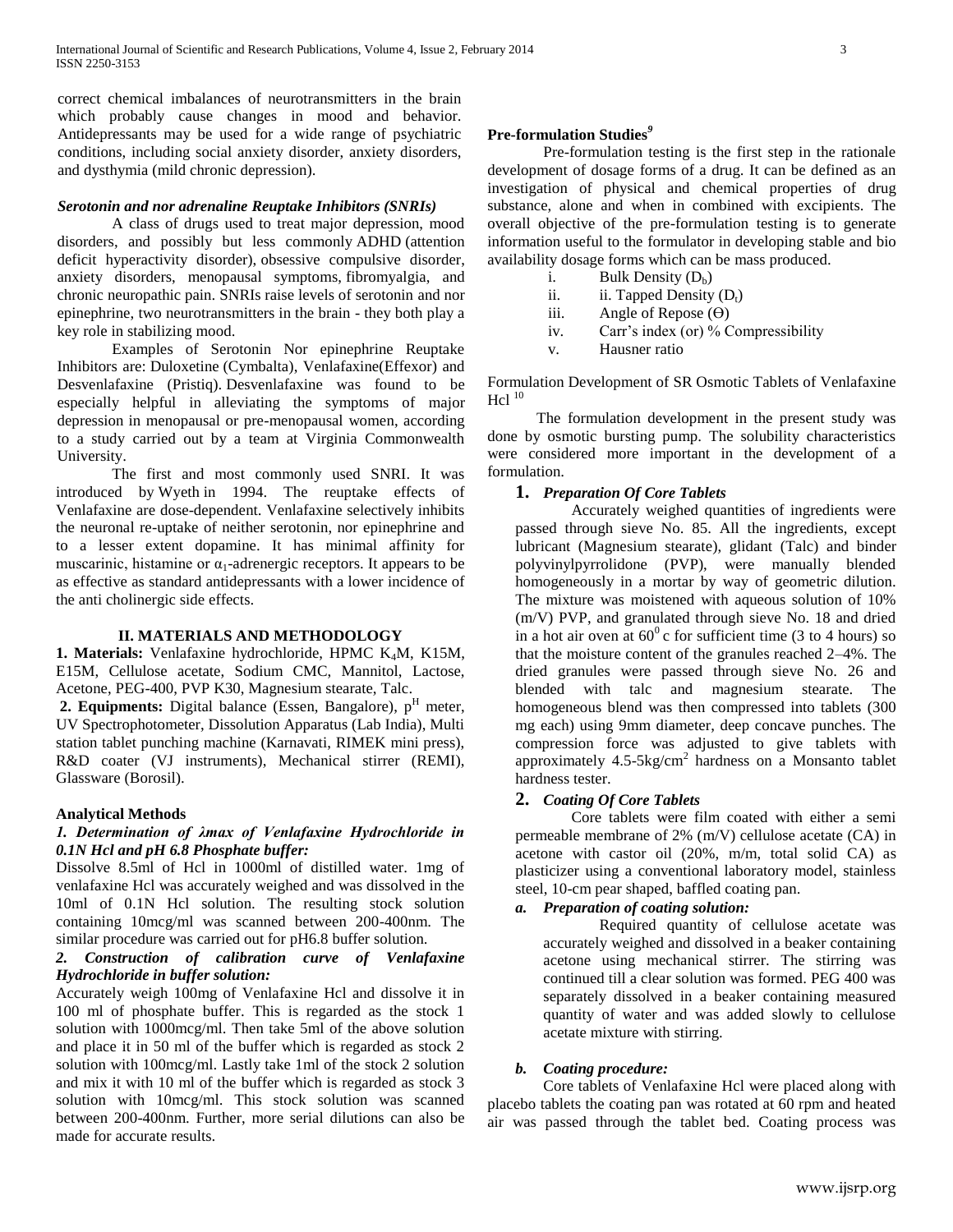correct chemical imbalances of neurotransmitters in the brain which probably cause changes in mood and behavior. Antidepressants may be used for a wide range of psychiatric conditions, including social anxiety disorder, anxiety disorders, and dysthymia (mild chronic depression).

## *Serotonin and nor adrenaline Reuptake Inhibitors (SNRIs)*

A class of drugs used to treat major depression, mood disorders, and possibly but less commonly [ADHD](http://www.medicalnewstoday.com/info/adhd/) (attention deficit hyperactivity disorder), [obsessive compulsive disorder,](http://www.medicalnewstoday.com/releases/12109.php)  anxiety disorders, menopausal symptoms, [fibromyalgia,](http://www.medicalnewstoday.com/articles/147083.php) and chronic neuropathic pain. SNRIs raise levels of serotonin and nor epinephrine, two neurotransmitters in the brain - they both play a key role in stabilizing mood.

Examples of Serotonin Nor epinephrine Reuptake Inhibitors are: [Duloxetine](http://www.medicalnewstoday.com/articles/248214.php) [\(Cymbalta\)](http://www.medilexicon.com/drugs/cymbalta.php), Venlafaxine[\(Effexor\)](http://www.medilexicon.com/drugs/effexor.php) and Desvenlafaxine (Pristiq). [Desvenlafaxine was found to be](http://www.medicalnewstoday.com/releases/197944.php)  [especially helpful in alleviating the symptoms of](http://www.medicalnewstoday.com/releases/197944.php) major [depression in menopausal or pre-menopausal women,](http://www.medicalnewstoday.com/releases/197944.php) according to a study carried out by a team at Virginia Commonwealth University.

The first and most commonly used SNRI. It was introduced by Wyeth in 1994. The reuptake effects of Venlafaxine are dose-dependent. Venlafaxine selectively inhibits the neuronal re-uptake of neither serotonin, nor epinephrine and to a lesser extent dopamine. It has minimal affinity for muscarinic, histamine or  $\alpha_1$ -adrenergic receptors. It appears to be as effective as standard antidepressants with a lower incidence of the anti cholinergic side effects.

### **II. MATERIALS AND METHODOLOGY**

**1. Materials:** Venlafaxine hydrochloride, HPMC K<sub>4</sub>M, K15M, E15M, Cellulose acetate, Sodium CMC, Mannitol, Lactose, Acetone, PEG-400, PVP K30, Magnesium stearate, Talc.

**2. Equipments:** Digital balance (Essen, Bangalore),  $p<sup>H</sup>$  meter, UV Spectrophotometer, Dissolution Apparatus (Lab India), Multi station tablet punching machine (Karnavati, RIMEK mini press), R&D coater (VJ instruments), Mechanical stirrer (REMI), Glassware (Borosil).

## **Analytical Methods**

## *1. Determination of λmax of Venlafaxine Hydrochloride in 0.1N Hcl and pH 6.8 Phosphate buffer:*

Dissolve 8.5ml of Hcl in 1000ml of distilled water. 1mg of venlafaxine Hcl was accurately weighed and was dissolved in the 10ml of 0.1N Hcl solution. The resulting stock solution containing 10mcg/ml was scanned between 200-400nm. The similar procedure was carried out for pH6.8 buffer solution.

## *2. Construction of calibration curve of Venlafaxine Hydrochloride in buffer solution:*

Accurately weigh 100mg of Venlafaxine Hcl and dissolve it in 100 ml of phosphate buffer. This is regarded as the stock 1 solution with 1000mcg/ml. Then take 5ml of the above solution and place it in 50 ml of the buffer which is regarded as stock 2 solution with 100mcg/ml. Lastly take 1ml of the stock 2 solution and mix it with 10 ml of the buffer which is regarded as stock 3 solution with 10mcg/ml. This stock solution was scanned between 200-400nm. Further, more serial dilutions can also be made for accurate results.

#### **Pre-formulation Studies***<sup>9</sup>*

Pre-formulation testing is the first step in the rationale development of dosage forms of a drug. It can be defined as an investigation of physical and chemical properties of drug substance, alone and when in combined with excipients. The overall objective of the pre-formulation testing is to generate information useful to the formulator in developing stable and bio availability dosage forms which can be mass produced.

- i. Bulk Density  $(D_h)$
- ii.  $\qquad$  ii. Tapped Density  $(D_t)$
- iii. Angle of Repose  $(\Theta)$
- iv. Carr's index (or) % Compressibility
- v. Hausner ratio

Formulation Development of SR Osmotic Tablets of Venlafaxine  $He1^{10}$ 

The formulation development in the present study was done by osmotic bursting pump. The solubility characteristics were considered more important in the development of a formulation.

#### **1.** *Preparation Of Core Tablets*

Accurately weighed quantities of ingredients were passed through sieve No. 85. All the ingredients, except lubricant (Magnesium stearate), glidant (Talc) and binder polyvinylpyrrolidone (PVP), were manually blended homogeneously in a mortar by way of geometric dilution. The mixture was moistened with aqueous solution of 10% (m/V) PVP, and granulated through sieve No. 18 and dried in a hot air oven at  $60^{\circ}$  c for sufficient time (3 to 4 hours) so that the moisture content of the granules reached 2–4%. The dried granules were passed through sieve No. 26 and blended with talc and magnesium stearate. The homogeneous blend was then compressed into tablets (300 mg each) using 9mm diameter, deep concave punches. The compression force was adjusted to give tablets with approximately  $4.5-5\text{kg/cm}^2$  hardness on a Monsanto tablet hardness tester.

## **2.** *Coating Of Core Tablets*

Core tablets were film coated with either a semi permeable membrane of 2% (m/V) cellulose acetate (CA) in acetone with castor oil (20%, m/m, total solid CA) as plasticizer using a conventional laboratory model, stainless steel, 10-cm pear shaped, baffled coating pan.

## *a. Preparation of coating solution:*

Required quantity of cellulose acetate was accurately weighed and dissolved in a beaker containing acetone using mechanical stirrer. The stirring was continued till a clear solution was formed. PEG 400 was separately dissolved in a beaker containing measured quantity of water and was added slowly to cellulose acetate mixture with stirring.

#### *b. Coating procedure:*

Core tablets of Venlafaxine Hcl were placed along with placebo tablets the coating pan was rotated at 60 rpm and heated air was passed through the tablet bed. Coating process was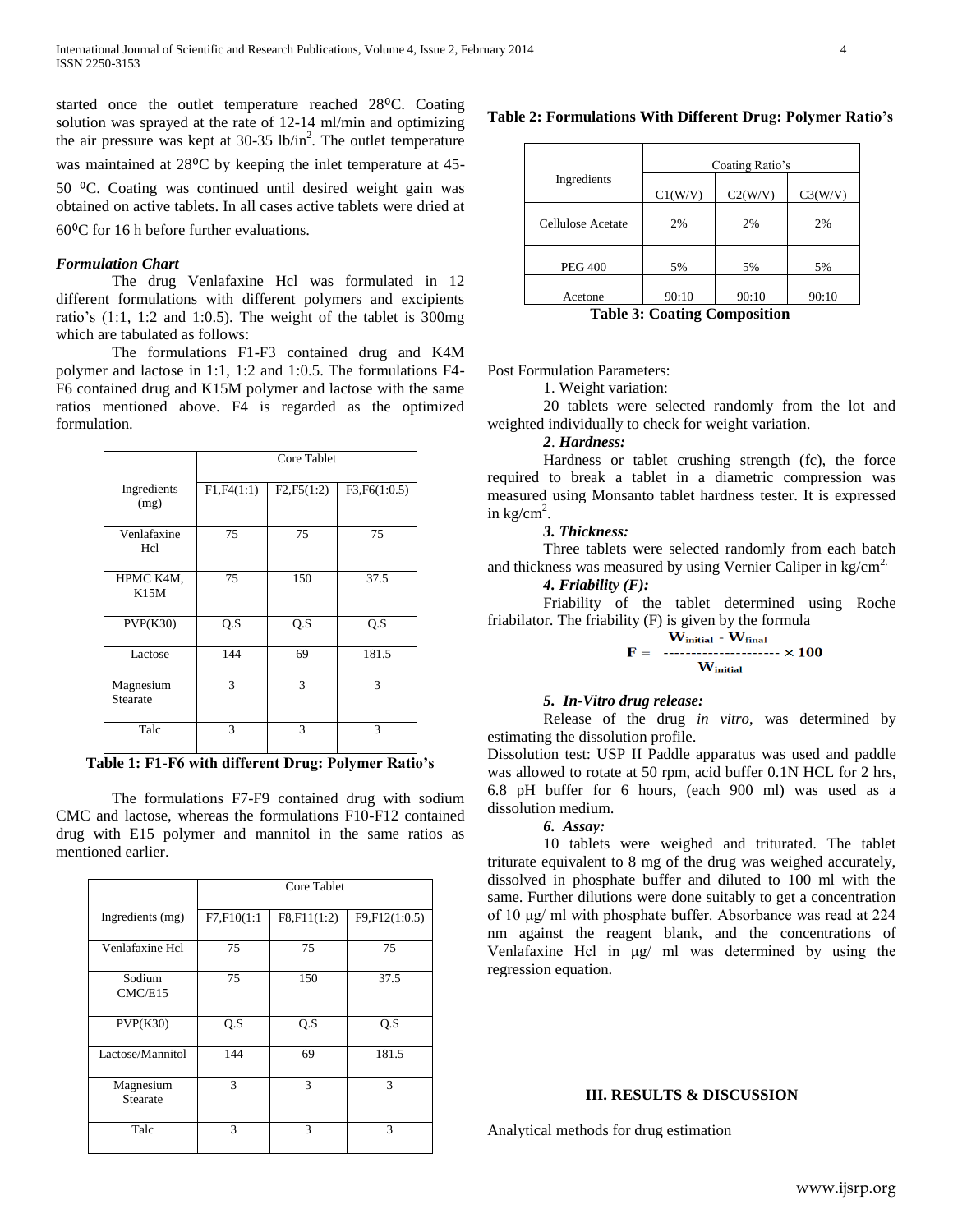started once the outlet temperature reached 28<sup>o</sup>C. Coating solution was sprayed at the rate of 12-14 ml/min and optimizing the air pressure was kept at 30-35 lb/in<sup>2</sup>. The outlet temperature

was maintained at 28<sup>o</sup>C by keeping the inlet temperature at 45-

50 ⁰C. Coating was continued until desired weight gain was obtained on active tablets. In all cases active tablets were dried at

 $60^{\circ}$ C for 16 h before further evaluations.

#### *Formulation Chart*

The drug Venlafaxine Hcl was formulated in 12 different formulations with different polymers and excipients ratio's (1:1, 1:2 and 1:0.5). The weight of the tablet is 300mg which are tabulated as follows:

The formulations F1-F3 contained drug and K4M polymer and lactose in 1:1, 1:2 and 1:0.5. The formulations F4- F6 contained drug and K15M polymer and lactose with the same ratios mentioned above. F4 is regarded as the optimized formulation.

|                       | Core Tablet |             |               |  |  |
|-----------------------|-------------|-------------|---------------|--|--|
| Ingredients<br>(mg)   | F1, F4(1:1) | F2, F5(1:2) | F3, F6(1:0.5) |  |  |
| Venlafaxine<br>Hcl    | 75          | 75          | 75            |  |  |
| HPMC K4M,<br>K15M     | 75          | 150         | 37.5          |  |  |
| PVP(K30)              | Q.S         | Q.S         | Q.S           |  |  |
| Lactose               | 144         | 69          | 181.5         |  |  |
| Magnesium<br>Stearate | 3           | 3           | 3             |  |  |
| Talc                  | 3           | 3           | 3             |  |  |

**Table 1: F1-F6 with different Drug: Polymer Ratio's**

The formulations F7-F9 contained drug with sodium CMC and lactose, whereas the formulations F10-F12 contained drug with E15 polymer and mannitol in the same ratios as mentioned earlier.

|                       | Core Tablet |               |               |  |  |
|-----------------------|-------------|---------------|---------------|--|--|
| Ingredients (mg)      | F7,F10(1:1  | F8,F11(1:2)   | F9,F12(1:0.5) |  |  |
| Venlafaxine Hcl       | 75          | 75            | 75            |  |  |
| Sodium<br>CMC/E15     | 75          | 150           | 37.5          |  |  |
| PVP(K30)              | Q.S         | Q.S           | Q.S           |  |  |
| Lactose/Mannitol      | 144         | 69            | 181.5         |  |  |
| Magnesium<br>Stearate | 3           | $\mathcal{R}$ | 3             |  |  |
| Talc                  | 3           | 3             | 3             |  |  |

#### **Table 2: Formulations With Different Drug: Polymer Ratio's**

|                   | Coating Ratio's |         |         |  |  |
|-------------------|-----------------|---------|---------|--|--|
| Ingredients       | C1(W/V)         | C2(W/V) | C3(W/V) |  |  |
| Cellulose Acetate | 2%              | 2%      | 2%      |  |  |
| <b>PEG 400</b>    | 5%              | 5%      | 5%      |  |  |
| Acetone           | 90:10           | 90:10   | 90:10   |  |  |

**Table 3: Coating Composition**

Post Formulation Parameters:

1. Weight variation:

20 tablets were selected randomly from the lot and weighted individually to check for weight variation.

## *2*. *Hardness:*

Hardness or tablet crushing strength (fc), the force required to break a tablet in a diametric compression was measured using Monsanto tablet hardness tester. It is expressed in  $\text{kg/cm}^2$ .

## *3. Thickness:*

Three tablets were selected randomly from each batch and thickness was measured by using Vernier Caliper in  $kg/cm<sup>2</sup>$ .

## *4. Friability (F):*

Friability of the tablet determined using Roche friabilator. The friability (F) is given by the formula

$$
F = \frac{W_{initial} - W_{final}}{W_{initial}}
$$

#### *5. In-Vitro drug release:*

Release of the drug *in vitro*, was determined by estimating the dissolution profile.

Dissolution test: USP II Paddle apparatus was used and paddle was allowed to rotate at 50 rpm, acid buffer 0.1N HCL for 2 hrs, 6.8 pH buffer for 6 hours, (each 900 ml) was used as a dissolution medium.

#### *6. Assay:*

10 tablets were weighed and triturated. The tablet triturate equivalent to 8 mg of the drug was weighed accurately, dissolved in phosphate buffer and diluted to 100 ml with the same. Further dilutions were done suitably to get a concentration of 10 μg/ ml with phosphate buffer. Absorbance was read at 224 nm against the reagent blank, and the concentrations of Venlafaxine Hcl in μg/ ml was determined by using the regression equation.

## **III. RESULTS & DISCUSSION**

Analytical methods for drug estimation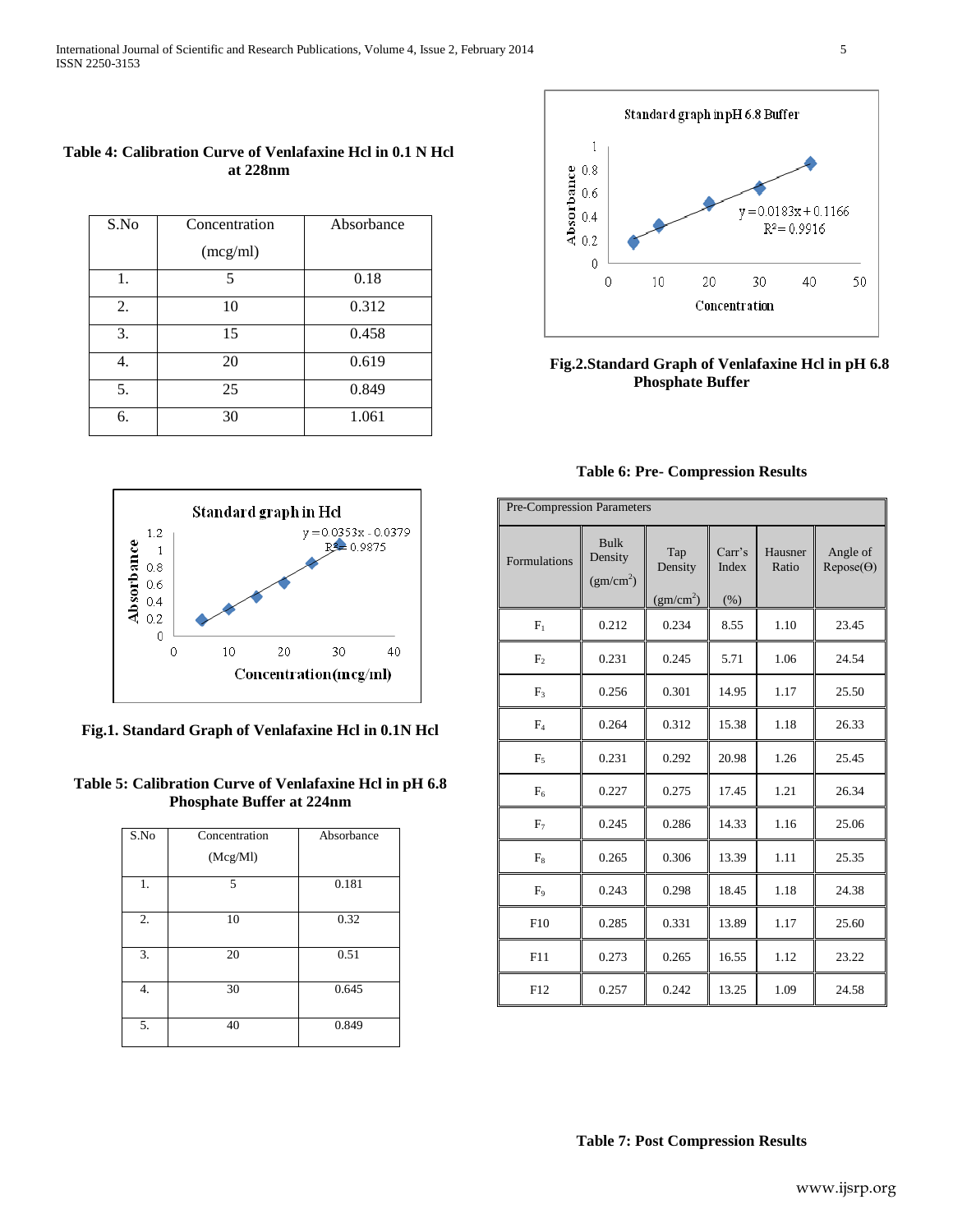| S.No | Concentration | Absorbance |
|------|---------------|------------|
|      | (mcg/ml)      |            |
| 1.   | 5             | 0.18       |
| 2.   | 10            | 0.312      |
| 3.   | 15            | 0.458      |
| 4.   | 20            | 0.619      |
| 5.   | 25            | 0.849      |
| 6.   | 30            | 1.061      |



## **Fig.2.Standard Graph of Venlafaxine Hcl in pH 6.8 Phosphate Buffer**

| 1.2<br>0.8                           |    |    | $y = 0.0353x - 0.0379$      |    |
|--------------------------------------|----|----|-----------------------------|----|
| Absorbance<br>0.6<br>0.4<br>0.2<br>0 |    |    | $R^2 = 0.9875$              |    |
| Ω                                    | 10 | 20 | 30<br>Concentration(mcg/ml) | 40 |

**Fig.1. Standard Graph of Venlafaxine Hcl in 0.1N Hcl**

## **Table 5: Calibration Curve of Venlafaxine Hcl in pH 6.8 Phosphate Buffer at 224nm**

| S.No | Concentration | Absorbance |
|------|---------------|------------|
|      | (Mcg/Ml)      |            |
| 1.   | 5             | 0.181      |
| 2.   | 10            | 0.32       |
| 3.   | 20            | 0.51       |
| 4.   | 30            | 0.645      |
| 5.   | 40            | 0.849      |

| Pre-Compression Parameters |                                                 |                                         |                        |                  |                              |
|----------------------------|-------------------------------------------------|-----------------------------------------|------------------------|------------------|------------------------------|
| Formulations               | <b>Bulk</b><br>Density<br>(gm/cm <sup>2</sup> ) | Tap<br>Density<br>(gm/cm <sup>2</sup> ) | Carr's<br>Index<br>(%) | Hausner<br>Ratio | Angle of<br>$Repose(\Theta)$ |
| $F_1$                      | 0.212                                           | 0.234                                   | 8.55                   | 1.10             | 23.45                        |
| F <sub>2</sub>             | 0.231                                           | 0.245                                   | 5.71                   | 1.06             | 24.54                        |
| $F_3$                      | 0.256                                           | 0.301                                   | 14.95                  | 1.17             | 25.50                        |
| $F_4$                      | 0.264                                           | 0.312                                   | 15.38                  | 1.18             | 26.33                        |
| F <sub>5</sub>             | 0.231                                           | 0.292                                   | 20.98                  | 1.26             | 25.45                        |
| $F_6$                      | 0.227                                           | 0.275                                   | 17.45                  | 1.21             | 26.34                        |
| $F_7$                      | 0.245                                           | 0.286                                   | 14.33                  | 1.16             | 25.06                        |
| $F_8$                      | 0.265                                           | 0.306                                   | 13.39                  | 1.11             | 25.35                        |
| F <sub>9</sub>             | 0.243                                           | 0.298                                   | 18.45                  | 1.18             | 24.38                        |
| F10                        | 0.285                                           | 0.331                                   | 13.89                  | 1.17             | 25.60                        |

**Table 6: Pre- Compression Results**

F11 || 0.273 || 0.265 || 16.55 || 1.12 || 23.22

F12 || 0.257 || 0.242 || 13.25 || 1.09 || 24.58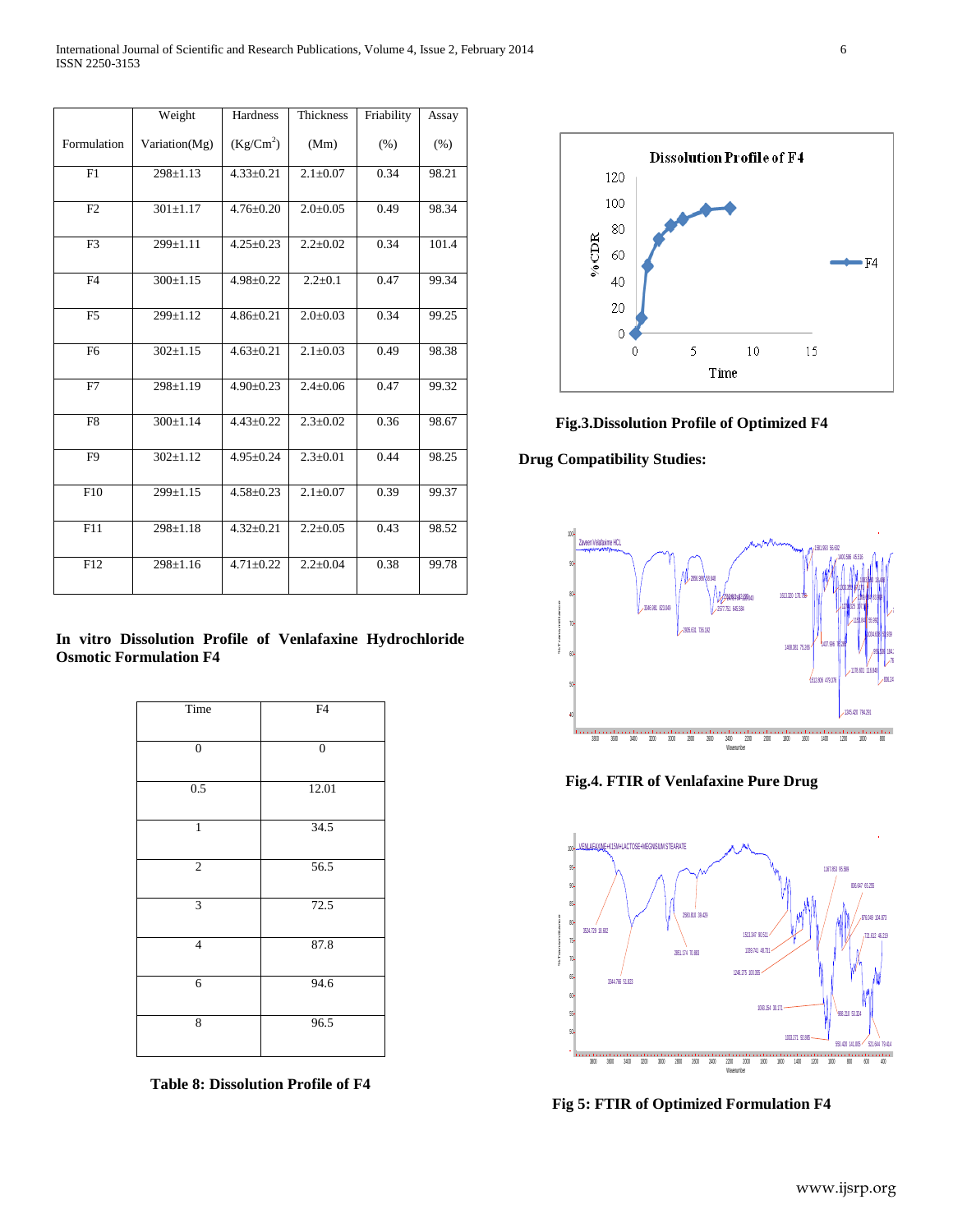|                | Weight         | Hardness        | <b>Thickness</b> | Friability | Assay |
|----------------|----------------|-----------------|------------------|------------|-------|
| Formulation    | Variation(Mg)  | $(Kg/Cm^2)$     | (Mm)             | (%)        | (% )  |
| F1             | $298 \pm 1.13$ | $4.33 \pm 0.21$ | $2.1 \pm 0.07$   | 0.34       | 98.21 |
| F2             | $301 \pm 1.17$ | $4.76 \pm 0.20$ | $2.0 \pm 0.05$   | 0.49       | 98.34 |
| F <sub>3</sub> | 299±1.11       | $4.25 \pm 0.23$ | $2.2 \pm 0.02$   | 0.34       | 101.4 |
| F4             | $300 \pm 1.15$ | $4.98 \pm 0.22$ | $2.2 + 0.1$      | 0.47       | 99.34 |
| F <sub>5</sub> | 299±1.12       | $4.86 \pm 0.21$ | $2.0 \pm 0.03$   | 0.34       | 99.25 |
| F <sub>6</sub> | $302 \pm 1.15$ | $4.63 \pm 0.21$ | $2.1 \pm 0.03$   | 0.49       | 98.38 |
| F7             | $298 \pm 1.19$ | $4.90 \pm 0.23$ | $2.4 \pm 0.06$   | 0.47       | 99.32 |
| F <sub>8</sub> | $300 \pm 1.14$ | $4.43 \pm 0.22$ | $2.3 \pm 0.02$   | 0.36       | 98.67 |
| F <sub>9</sub> | $302 \pm 1.12$ | $4.95 \pm 0.24$ | $2.3 \pm 0.01$   | 0.44       | 98.25 |
| F10            | 299±1.15       | $4.58 \pm 0.23$ | $2.1 \pm 0.07$   | 0.39       | 99.37 |
| F11            | $298 \pm 1.18$ | $4.32 \pm 0.21$ | $2.2 \pm 0.05$   | 0.43       | 98.52 |
| F12            | $298 \pm 1.16$ | $4.71 \pm 0.22$ | $2.2 \pm 0.04$   | 0.38       | 99.78 |

## **In vitro Dissolution Profile of Venlafaxine Hydrochloride Osmotic Formulation F4**

| Time             | F4               |
|------------------|------------------|
| $\boldsymbol{0}$ | $\boldsymbol{0}$ |
| 0.5              | 12.01            |
| $\,$ 1 $\,$      | 34.5             |
| $\sqrt{2}$       | 56.5             |
| 3                | 72.5             |
| $\overline{4}$   | 87.8             |
| 6                | 94.6             |
| 8                | 96.5             |

**Table 8: Dissolution Profile of F4**



**Fig.3.Dissolution Profile of Optimized F4**

 **Drug Compatibility Studies:**



**Fig.4. FTIR of Venlafaxine Pure Drug**



**Fig 5: FTIR of Optimized Formulation F4**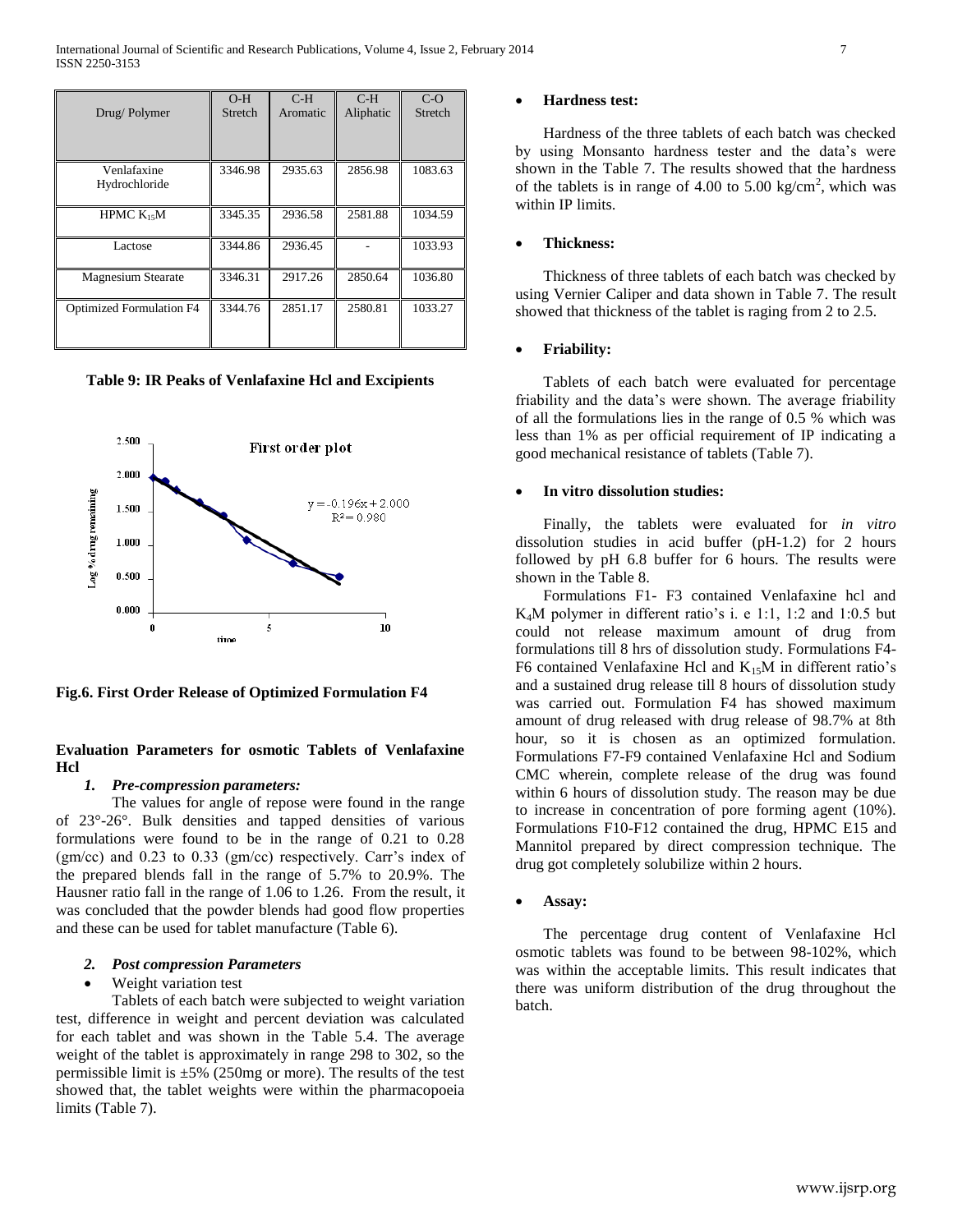| Drug/Polymer                    | $O-H$<br>Stretch | $C-H$<br>Aromatic | $C-H$<br>Aliphatic | $C-O$<br>Stretch |
|---------------------------------|------------------|-------------------|--------------------|------------------|
| Venlafaxine<br>Hydrochloride    | 3346.98          | 2935.63           | 2856.98            | 1083.63          |
| HPMC $K_{15}M$                  | 3345.35          | 2936.58           | 2581.88            | 1034.59          |
| Lactose                         | 3344.86          | 2936.45           |                    | 1033.93          |
| <b>Magnesium Stearate</b>       | 3346.31          | 2917.26           | 2850.64            | 1036.80          |
| <b>Optimized Formulation F4</b> | 3344.76          | 2851.17           | 2580.81            | 1033.27          |

**Table 9: IR Peaks of Venlafaxine Hcl and Excipients**



**Fig.6. First Order Release of Optimized Formulation F4**

## **Evaluation Parameters for osmotic Tablets of Venlafaxine Hcl**

#### *1. Pre-compression parameters:*

The values for angle of repose were found in the range of 23°-26°. Bulk densities and tapped densities of various formulations were found to be in the range of 0.21 to 0.28 (gm/cc) and 0.23 to 0.33 (gm/cc) respectively. Carr's index of the prepared blends fall in the range of 5.7% to 20.9%. The Hausner ratio fall in the range of 1.06 to 1.26. From the result, it was concluded that the powder blends had good flow properties and these can be used for tablet manufacture (Table 6).

## *2. Post compression Parameters*

### Weight variation test

Tablets of each batch were subjected to weight variation test, difference in weight and percent deviation was calculated for each tablet and was shown in the Table 5.4. The average weight of the tablet is approximately in range 298 to 302, so the permissible limit is  $\pm 5\%$  (250mg or more). The results of the test showed that, the tablet weights were within the pharmacopoeia limits (Table 7).

#### **Hardness test:**

Hardness of the three tablets of each batch was checked by using Monsanto hardness tester and the data's were shown in the Table 7. The results showed that the hardness of the tablets is in range of 4.00 to 5.00 kg/cm<sup>2</sup>, which was within IP limits.

#### **Thickness:**

Thickness of three tablets of each batch was checked by using Vernier Caliper and data shown in Table 7. The result showed that thickness of the tablet is raging from 2 to 2.5.

#### **Friability:**

Tablets of each batch were evaluated for percentage friability and the data's were shown. The average friability of all the formulations lies in the range of 0.5 % which was less than 1% as per official requirement of IP indicating a good mechanical resistance of tablets (Table 7).

#### **In vitro dissolution studies:**

Finally, the tablets were evaluated for *in vitro* dissolution studies in acid buffer (pH-1.2) for 2 hours followed by pH 6.8 buffer for 6 hours. The results were shown in the Table 8.

Formulations F1- F3 contained Venlafaxine hcl and K4M polymer in different ratio's i. e 1:1, 1:2 and 1:0.5 but could not release maximum amount of drug from formulations till 8 hrs of dissolution study. Formulations F4- F6 contained Venlafaxine Hcl and  $K_{15}M$  in different ratio's and a sustained drug release till 8 hours of dissolution study was carried out. Formulation F4 has showed maximum amount of drug released with drug release of 98.7% at 8th hour, so it is chosen as an optimized formulation. Formulations F7-F9 contained Venlafaxine Hcl and Sodium CMC wherein, complete release of the drug was found within 6 hours of dissolution study. The reason may be due to increase in concentration of pore forming agent (10%). Formulations F10-F12 contained the drug, HPMC E15 and Mannitol prepared by direct compression technique. The drug got completely solubilize within 2 hours.

#### **Assay:**

The percentage drug content of Venlafaxine Hcl osmotic tablets was found to be between 98-102%, which was within the acceptable limits. This result indicates that there was uniform distribution of the drug throughout the batch.